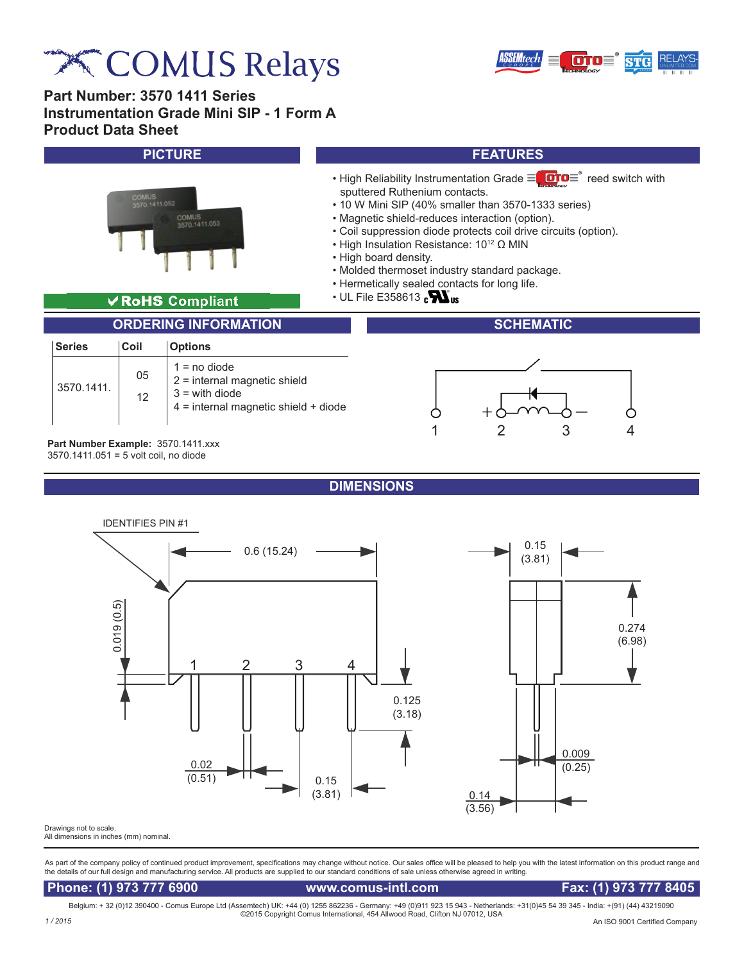# **EXT COMUS Relays**

**Part Number: 3570 1411 Series**



1 2 3 4

**Instrumentation Grade Mini SIP - 1 Form A Product Data Sheet**



**Part Number Example:** 3570.1411.xxx 3570.1411.051 = 5 volt coil, no diode

**DIMENSIONS**



All dimensions in inches (mm) nominal.

As part of the company policy of continued product improvement, specifications may change without notice. Our sales office will be pleased to help you with the latest information on this product range and the details of our full design and manufacturing service. All products are supplied to our standard conditions of sale unless otherwise agreed in writing.

## **Phone: (1) 973 777 6900 www.comus-intl.com Fax: (1) 973 777 8405**

Belgium: + 32 (0)12 390400 - Comus Europe Ltd (Assemtech) UK: +44 (0) 1255 862236 - Germany: +49 (0)911 923 15 943 - Netherlands: +31(0)45 54 39 345 - India: +(91) (44) 43219090 ©2015 Copyright Comus International, 454 Allwood Road, Clifton NJ 07012, USA *1 / 2015*